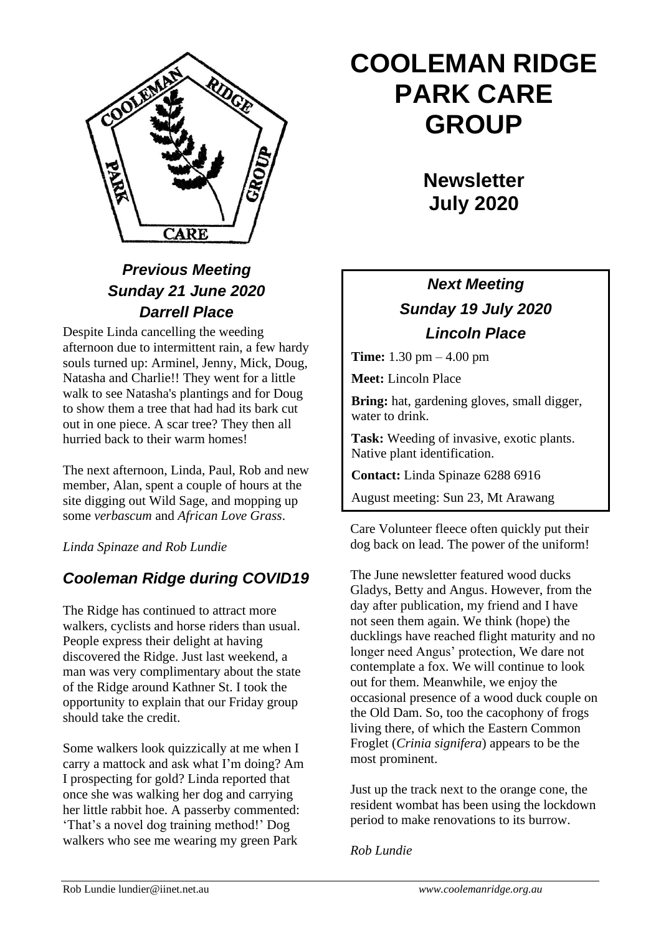

# *Previous Meeting Sunday 21 June 2020 Darrell Place*

Despite Linda cancelling the weeding afternoon due to intermittent rain, a few hardy souls turned up: Arminel, Jenny, Mick, Doug, Natasha and Charlie!! They went for a little walk to see Natasha's plantings and for Doug to show them a tree that had had its bark cut out in one piece. A scar tree? They then all hurried back to their warm homes!

The next afternoon, Linda, Paul, Rob and new member, Alan, spent a couple of hours at the site digging out Wild Sage, and mopping up some *verbascum* and *African Love Grass*.

*Linda Spinaze and Rob Lundie*

### *Cooleman Ridge during COVID19*

The Ridge has continued to attract more walkers, cyclists and horse riders than usual. People express their delight at having discovered the Ridge. Just last weekend, a man was very complimentary about the state of the Ridge around Kathner St. I took the opportunity to explain that our Friday group should take the credit.

Some walkers look quizzically at me when I carry a mattock and ask what I'm doing? Am I prospecting for gold? Linda reported that once she was walking her dog and carrying her little rabbit hoe. A passerby commented: 'That's a novel dog training method!' Dog walkers who see me wearing my green Park

# **COOLEMAN RIDGE PARK CARE GROUP**

**Newsletter July 2020** 

# *Next Meeting Sunday 19 July 2020 Lincoln Place*

**Time:** 1.30 pm – 4.00 pm

**Meet:** Lincoln Place

**Bring:** hat, gardening gloves, small digger, water to drink.

**Task:** Weeding of invasive, exotic plants. Native plant identification.

**Contact:** Linda Spinaze 6288 6916

August meeting: Sun 23, Mt Arawang

Care Volunteer fleece often quickly put their dog back on lead. The power of the uniform!

The June newsletter featured wood ducks Gladys, Betty and Angus. However, from the day after publication, my friend and I have not seen them again. We think (hope) the ducklings have reached flight maturity and no longer need Angus' protection, We dare not contemplate a fox. We will continue to look out for them. Meanwhile, we enjoy the occasional presence of a wood duck couple on the Old Dam. So, too the cacophony of frogs living there, of which the Eastern Common Froglet (*Crinia signifera*) appears to be the most prominent.

Just up the track next to the orange cone, the resident wombat has been using the lockdown period to make renovations to its burrow.

*Rob Lundie*